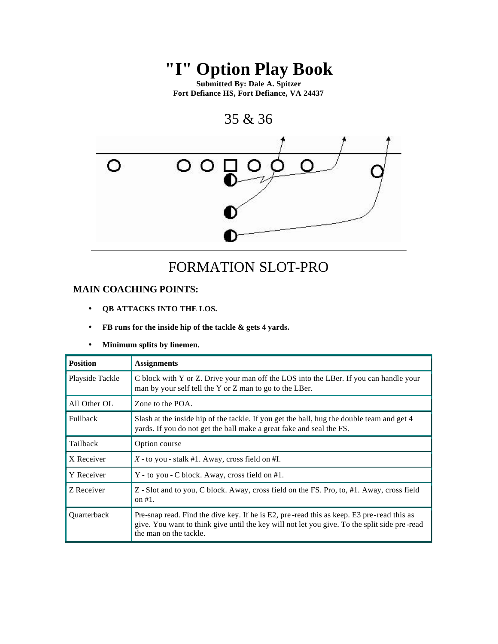# **"I" Option Play Book**

**Submitted By: Dale A. Spitzer Fort Defiance HS, Fort Defiance, VA 24437**



### FORMATION SLOT-PRO

#### **MAIN COACHING POINTS:**

- **QB ATTACKS INTO THE LOS.**
- **FB runs for the inside hip of the tackle & gets 4 yards.**

#### • **Minimum splits by linemen.**

| <b>Position</b> | <b>Assignments</b>                                                                                                                                                                                                  |
|-----------------|---------------------------------------------------------------------------------------------------------------------------------------------------------------------------------------------------------------------|
| Playside Tackle | C block with Y or Z. Drive your man off the LOS into the LBer. If you can handle your<br>man by your self tell the Y or Z man to go to the LBer.                                                                    |
| All Other OL    | Zone to the POA.                                                                                                                                                                                                    |
| <b>Fullback</b> | Slash at the inside hip of the tackle. If you get the ball, hug the double team and get 4<br>yards. If you do not get the ball make a great fake and seal the FS.                                                   |
| Tailback        | Option course                                                                                                                                                                                                       |
| X Receiver      | $X$ - to you - stalk #1. Away, cross field on #I.                                                                                                                                                                   |
| Y Receiver      | Y - to you - C block. Away, cross field on #1.                                                                                                                                                                      |
| Z Receiver      | Z - Slot and to you, C block. Away, cross field on the FS. Pro, to, #1. Away, cross field<br>on $#1$ .                                                                                                              |
| Quarterback     | Pre-snap read. Find the dive key. If he is E2, pre-read this as keep. E3 pre-read this as<br>give. You want to think give until the key will not let you give. To the split side pre-read<br>the man on the tackle. |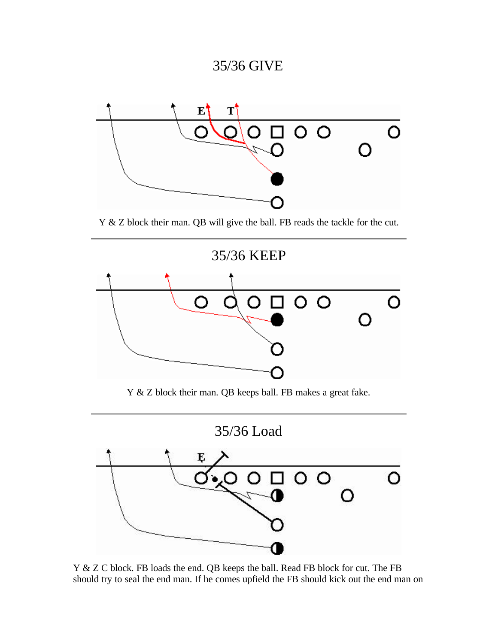# 35/36 GIVE



Y & Z block their man. QB will give the ball. FB reads the tackle for the cut.



Y & Z block their man. QB keeps ball. FB makes a great fake.





Y & Z C block. FB loads the end. QB keeps the ball. Read FB block for cut. The FB should try to seal the end man. If he comes upfield the FB should kick out the end man on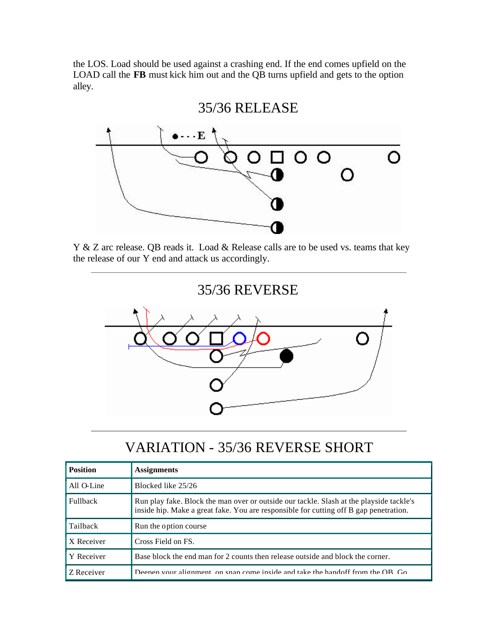the LOS. Load should be used against a crashing end. If the end comes upfield on the LOAD call the **FB** must kick him out and the QB turns upfield and gets to the option alley.



Y & Z arc release. QB reads it. Load & Release calls are to be used vs. teams that key the release of our Y end and attack us accordingly.



# VARIATION - 35/36 REVERSE SHORT

| <b>Position</b> | <b>Assignments</b>                                                                                                                                                               |
|-----------------|----------------------------------------------------------------------------------------------------------------------------------------------------------------------------------|
| All O-Line      | Blocked like 25/26                                                                                                                                                               |
| Fullback        | Run play fake. Block the man over or outside our tackle. Slash at the playside tackle's<br>inside hip. Make a great fake. You are responsible for cutting off B gap penetration. |
| Tailback        | Run the option course                                                                                                                                                            |
| X Receiver      | Cross Field on FS.                                                                                                                                                               |
| Y Receiver      | Base block the end man for 2 counts then release outside and block the corner.                                                                                                   |
| Z Receiver      | Deepen your alignment, on snap come inside and take the handoff from the OB. Go                                                                                                  |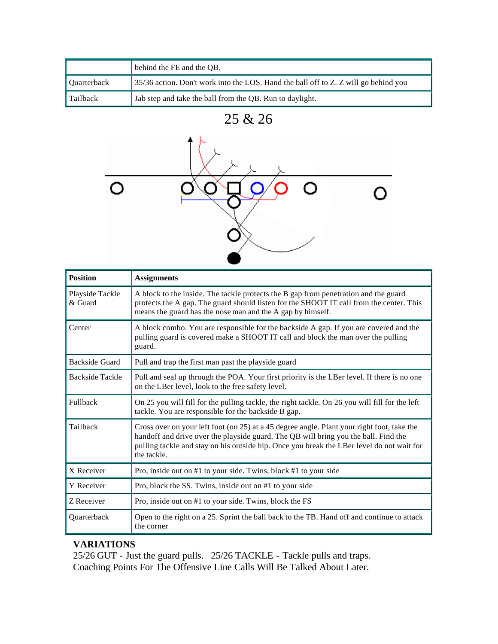|                    | behind the FE and the QB.                                                           |
|--------------------|-------------------------------------------------------------------------------------|
| <b>Ouarterback</b> | 35/36 action. Don't work into the LOS. Hand the ball off to Z. Z will go behind you |
| Tailback           | Jab step and take the ball from the QB. Run to daylight.                            |

<sup>25 &</sup>amp; 26



| <b>Position</b>            | <b>Assignments</b>                                                                                                                                                                                                                                                                            |  |  |  |  |  |
|----------------------------|-----------------------------------------------------------------------------------------------------------------------------------------------------------------------------------------------------------------------------------------------------------------------------------------------|--|--|--|--|--|
| Playside Tackle<br>& Guard | A block to the inside. The tackle protects the B gap from penetration and the guard<br>protects the A gap. The guard should listen for the SHOOT IT call from the center. This<br>means the guard has the nose man and the A gap by himself.                                                  |  |  |  |  |  |
| Center                     | A block combo. You are responsible for the backside A gap. If you are covered and the<br>pulling guard is covered make a SHOOT IT call and block the man over the pulling<br>guard.                                                                                                           |  |  |  |  |  |
| Backside Guard             | Pull and trap the first man past the playside guard                                                                                                                                                                                                                                           |  |  |  |  |  |
| <b>Backside Tackle</b>     | Pull and seal up through the POA. Your first priority is the LBer level. If there is no one<br>on the LBer level, look to the free safety level.                                                                                                                                              |  |  |  |  |  |
| Fullback                   | On 25 you will fill for the pulling tackle, the right tackle. On 26 you will fill for the left<br>tackle. You are responsible for the backside B gap.                                                                                                                                         |  |  |  |  |  |
| Tailback                   | Cross over on your left foot (on 25) at a 45 degree angle. Plant your right foot, take the<br>handoff and drive over the playside guard. The QB will bring you the ball. Find the<br>pulling tackle and stay on his outside hip. Once you break the LBer level do not wait for<br>the tackle. |  |  |  |  |  |
| X Receiver                 | Pro, inside out on #1 to your side. Twins, block #1 to your side                                                                                                                                                                                                                              |  |  |  |  |  |
| Y Receiver                 | Pro, block the SS. Twins, inside out on #1 to your side                                                                                                                                                                                                                                       |  |  |  |  |  |
| Z Receiver                 | Pro, inside out on #1 to your side. Twins, block the FS                                                                                                                                                                                                                                       |  |  |  |  |  |
| Quarterback                | Open to the right on a 25. Sprint the ball back to the TB. Hand off and continue to attack<br>the corner                                                                                                                                                                                      |  |  |  |  |  |

#### **VARIATIONS**

25/26 GUT - Just the guard pulls. 25/26 TACKLE - Tackle pulls and traps. Coaching Points For The Offensive Line Calls Will Be Talked About Later.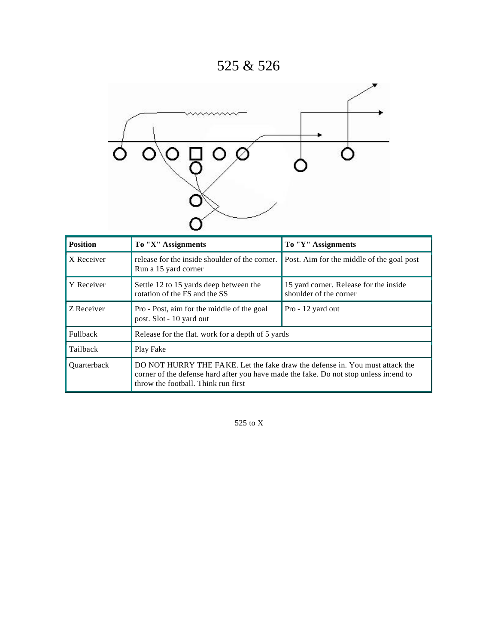# 525 & 526



| <b>Position</b>    | To "X" Assignments                                                                                                                                                                                            | To "Y" Assignments                                               |  |  |  |  |
|--------------------|---------------------------------------------------------------------------------------------------------------------------------------------------------------------------------------------------------------|------------------------------------------------------------------|--|--|--|--|
| X Receiver         | release for the inside shoulder of the corner.<br>Run a 15 yard corner                                                                                                                                        | Post. Aim for the middle of the goal post                        |  |  |  |  |
| Y Receiver         | Settle 12 to 15 yards deep between the<br>rotation of the FS and the SS                                                                                                                                       | 15 yard corner. Release for the inside<br>shoulder of the corner |  |  |  |  |
| Z Receiver         | Pro - Post, aim for the middle of the goal<br>post. Slot - 10 yard out                                                                                                                                        | Pro - 12 yard out                                                |  |  |  |  |
| <b>Fullback</b>    | Release for the flat. work for a depth of 5 yards                                                                                                                                                             |                                                                  |  |  |  |  |
| Tailback           | Play Fake                                                                                                                                                                                                     |                                                                  |  |  |  |  |
| <b>Ouarterback</b> | DO NOT HURRY THE FAKE. Let the fake draw the defense in. You must attack the<br>corner of the defense hard after you have made the fake. Do not stop unless in: end to<br>throw the football. Think run first |                                                                  |  |  |  |  |

525 to X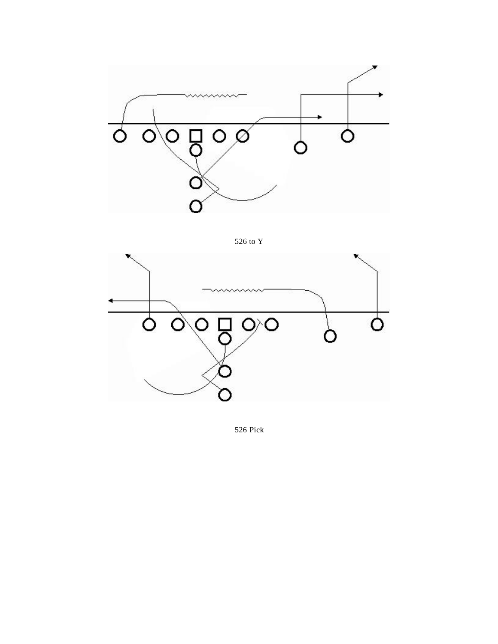

526 to Y



526 Pick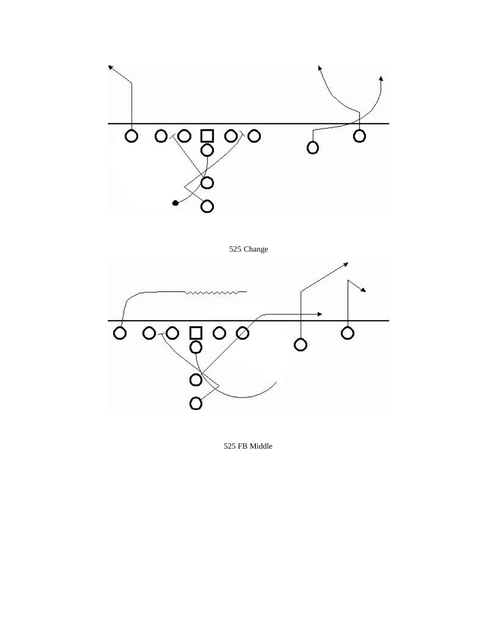





525 FB Middle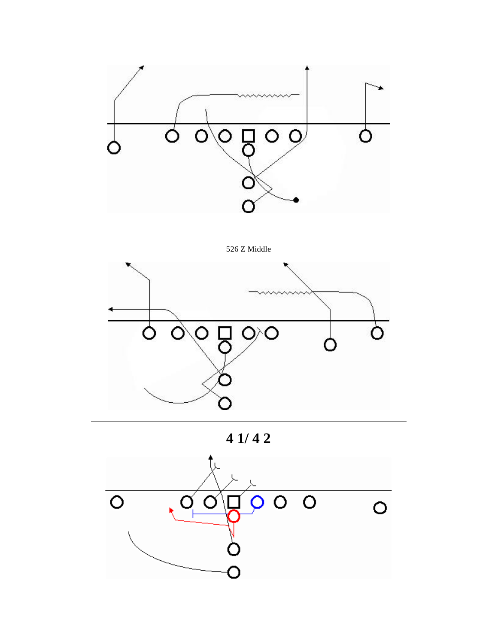

526 Z Middle



**4 1/ 4 2**

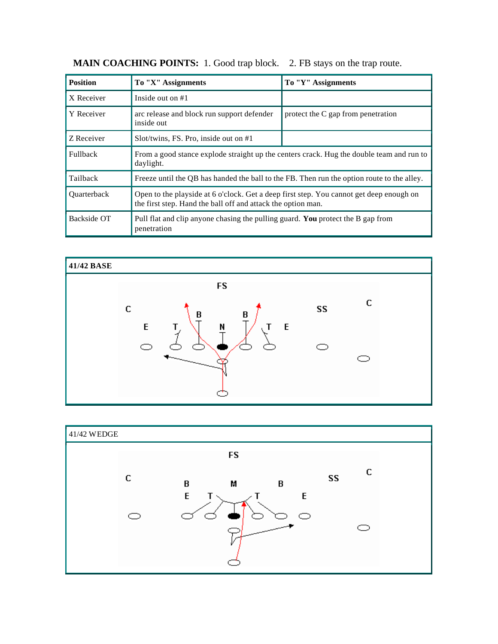| <b>Position</b> | To "X" Assignments                                                                                                                                      | To "Y" Assignments                 |  |  |  |
|-----------------|---------------------------------------------------------------------------------------------------------------------------------------------------------|------------------------------------|--|--|--|
| X Receiver      | Inside out on $#1$                                                                                                                                      |                                    |  |  |  |
| Y Receiver      | arc release and block run support defender<br>inside out                                                                                                | protect the C gap from penetration |  |  |  |
| Z Receiver      | $Slot/twins$ , FS. Pro, inside out on #1                                                                                                                |                                    |  |  |  |
| <b>Fullback</b> | From a good stance explode straight up the centers crack. Hug the double team and run to<br>daylight.                                                   |                                    |  |  |  |
| Tailback        | Freeze until the OB has handed the ball to the FB. Then run the option route to the alley.                                                              |                                    |  |  |  |
| Quarterback     | Open to the playside at 6 o'clock. Get a deep first step. You cannot get deep enough on<br>the first step. Hand the ball off and attack the option man. |                                    |  |  |  |
| Backside OT     | Pull flat and clip anyone chasing the pulling guard. You protect the B gap from<br>penetration                                                          |                                    |  |  |  |

**MAIN COACHING POINTS:** 1. Good trap block. 2. FB stays on the trap route.



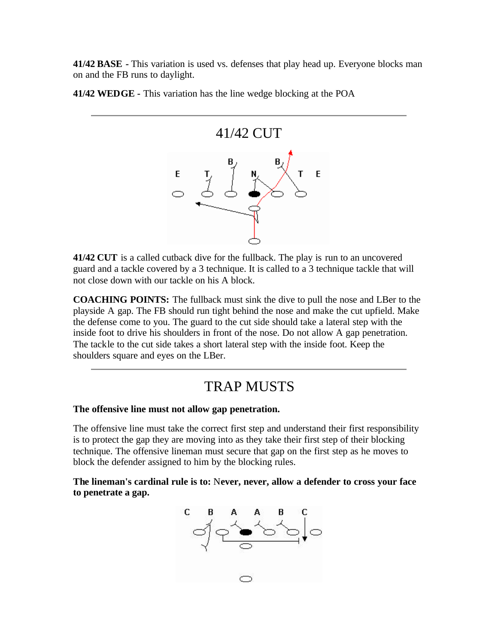**41/42 BASE -** This variation is used vs. defenses that play head up. Everyone blocks man on and the FB runs to daylight.

**41/42 WEDGE -** This variation has the line wedge blocking at the POA



**41/42 CUT** is a called cutback dive for the fullback. The play is run to an uncovered guard and a tackle covered by a 3 technique. It is called to a 3 technique tackle that will not close down with our tackle on his A block.

**COACHING POINTS:** The fullback must sink the dive to pull the nose and LBer to the playside A gap. The FB should run tight behind the nose and make the cut upfield. Make the defense come to you. The guard to the cut side should take a lateral step with the inside foot to drive his shoulders in front of the nose. Do not allow A gap penetration. The tackle to the cut side takes a short lateral step with the inside foot. Keep the shoulders square and eyes on the LBer.

### TRAP MUSTS

#### **The offensive line must not allow gap penetration.**

The offensive line must take the correct first step and understand their first responsibility is to protect the gap they are moving into as they take their first step of their blocking technique. The offensive lineman must secure that gap on the first step as he moves to block the defender assigned to him by the blocking rules.

**The lineman's cardinal rule is to:** N**ever, never, allow a defender to cross your face to penetrate a gap.**

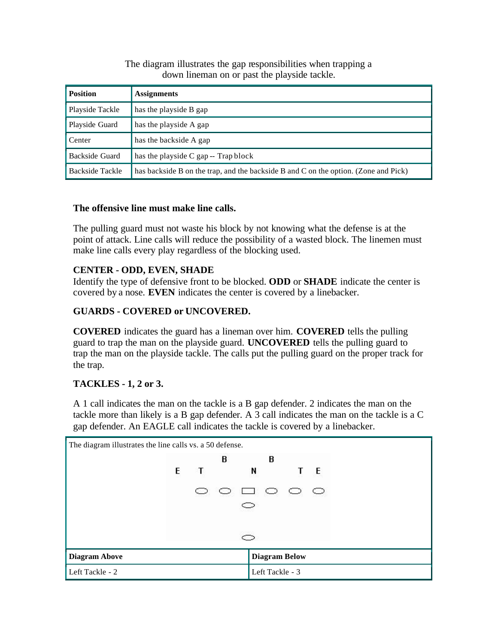#### The diagram illustrates the gap responsibilities when trapping a down lineman on or past the playside tackle.

| <b>Position</b> | <b>Assignments</b>                                                                  |
|-----------------|-------------------------------------------------------------------------------------|
| Playside Tackle | has the playside B gap                                                              |
| Playside Guard  | has the playside A gap                                                              |
| Center          | has the backside A gap                                                              |
| Backside Guard  | has the playside C gap -- Trap block                                                |
| Backside Tackle | has backside B on the trap, and the backside B and C on the option. (Zone and Pick) |

#### **The offensive line must make line calls.**

The pulling guard must not waste his block by not knowing what the defense is at the point of attack. Line calls will reduce the possibility of a wasted block. The linemen must make line calls every play regardless of the blocking used.

#### **CENTER - ODD, EVEN, SHADE**

Identify the type of defensive front to be blocked. **ODD** or **SHADE** indicate the center is covered by a nose. **EVEN** indicates the center is covered by a linebacker.

#### **GUARDS - COVERED or UNCOVERED.**

**COVERED** indicates the guard has a lineman over him. **COVERED** tells the pulling guard to trap the man on the playside guard. **UNCOVERED** tells the pulling guard to trap the man on the playside tackle. The calls put the pulling guard on the proper track for the trap.

#### **TACKLES - 1, 2 or 3.**

A 1 call indicates the man on the tackle is a B gap defender. 2 indicates the man on the tackle more than likely is a B gap defender. A 3 call indicates the man on the tackle is a C gap defender. An EAGLE call indicates the tackle is covered by a linebacker.

| The diagram illustrates the line calls vs. a 50 defense. |   |              |                                         |                 |                      |  |  |
|----------------------------------------------------------|---|--------------|-----------------------------------------|-----------------|----------------------|--|--|
|                                                          |   |              | В                                       | <b>B</b>        |                      |  |  |
|                                                          | E | $\mathbf{T}$ |                                         |                 | $N$ T E              |  |  |
|                                                          |   |              | $\circ$ $\circ$ $\circ$ $\circ$ $\circ$ |                 |                      |  |  |
|                                                          |   |              |                                         |                 |                      |  |  |
|                                                          |   |              |                                         |                 |                      |  |  |
|                                                          |   |              |                                         |                 |                      |  |  |
| <b>Diagram Above</b>                                     |   |              |                                         |                 | <b>Diagram Below</b> |  |  |
| Left Tackle - 2                                          |   |              |                                         | Left Tackle - 3 |                      |  |  |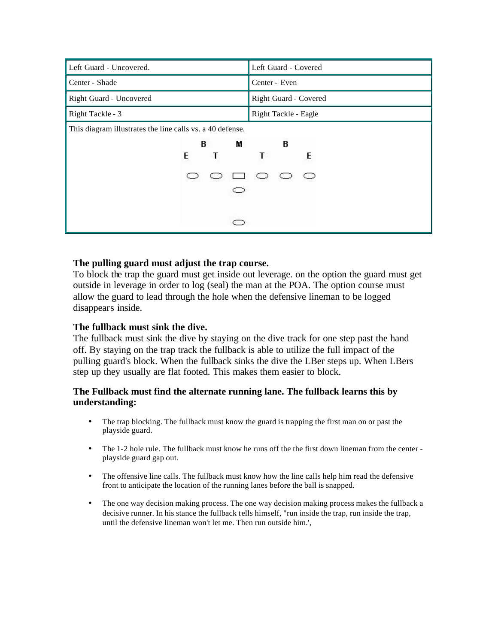| Left Guard - Uncovered.                                   |   |   |                       |                      | Left Guard - Covered |
|-----------------------------------------------------------|---|---|-----------------------|----------------------|----------------------|
| Center - Shade                                            |   |   |                       | Center - Even        |                      |
| Right Guard - Uncovered                                   |   |   | Right Guard - Covered |                      |                      |
| Right Tackle - 3                                          |   |   |                       | Right Tackle - Eagle |                      |
| This diagram illustrates the line calls vs. a 40 defense. |   |   |                       |                      |                      |
|                                                           | В | м |                       | В                    |                      |
|                                                           | E |   |                       |                      | E                    |
|                                                           |   |   | $\Box$ $\circ$        |                      | O                    |
|                                                           |   |   |                       |                      |                      |
|                                                           |   |   |                       |                      |                      |

#### **The pulling guard must adjust the trap course.**

To block the trap the guard must get inside out leverage. on the option the guard must get outside in leverage in order to log (seal) the man at the POA. The option course must allow the guard to lead through the hole when the defensive lineman to be logged disappears inside.

#### **The fullback must sink the dive.**

The fullback must sink the dive by staying on the dive track for one step past the hand off. By staying on the trap track the fullback is able to utilize the full impact of the pulling guard's block. When the fullback sinks the dive the LBer steps up. When LBers step up they usually are flat footed. This makes them easier to block.

#### **The Fullback must find the alternate running lane. The fullback learns this by understanding:**

- The trap blocking. The fullback must know the guard is trapping the first man on or past the playside guard.
- The 1-2 hole rule. The fullback must know he runs off the the first down lineman from the center playside guard gap out.
- The offensive line calls. The fullback must know how the line calls help him read the defensive front to anticipate the location of the running lanes before the ball is snapped.
- The one way decision making process. The one way decision making process makes the fullback a decisive runner. In his stance the fullback tells himself, "run inside the trap, run inside the trap, until the defensive lineman won't let me. Then run outside him.',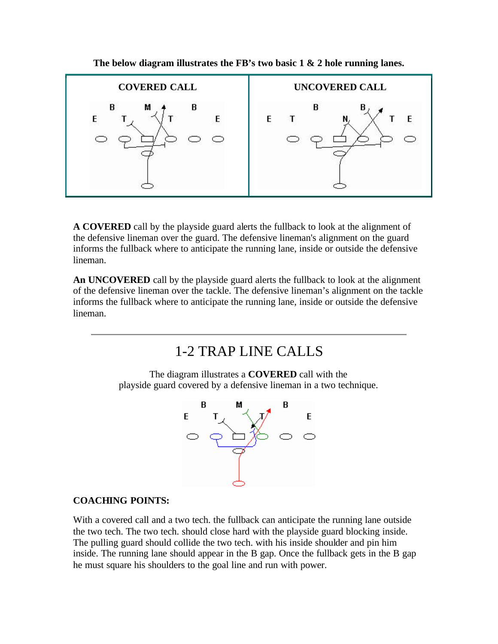

**The below diagram illustrates the FB's two basic 1 & 2 hole running lanes.**

**A COVERED** call by the playside guard alerts the fullback to look at the alignment of the defensive lineman over the guard. The defensive lineman's alignment on the guard informs the fullback where to anticipate the running lane, inside or outside the defensive lineman.

**An UNCOVERED** call by the playside guard alerts the fullback to look at the alignment of the defensive lineman over the tackle. The defensive lineman's alignment on the tackle informs the fullback where to anticipate the running lane, inside or outside the defensive lineman.

### 1-2 TRAP LINE CALLS

The diagram illustrates a **COVERED** call with the playside guard covered by a defensive lineman in a two technique.



#### **COACHING POINTS:**

With a covered call and a two tech. the fullback can anticipate the running lane outside the two tech. The two tech. should close hard with the playside guard blocking inside. The pulling guard should collide the two tech. with his inside shoulder and pin him inside. The running lane should appear in the B gap. Once the fullback gets in the B gap he must square his shoulders to the goal line and run with power.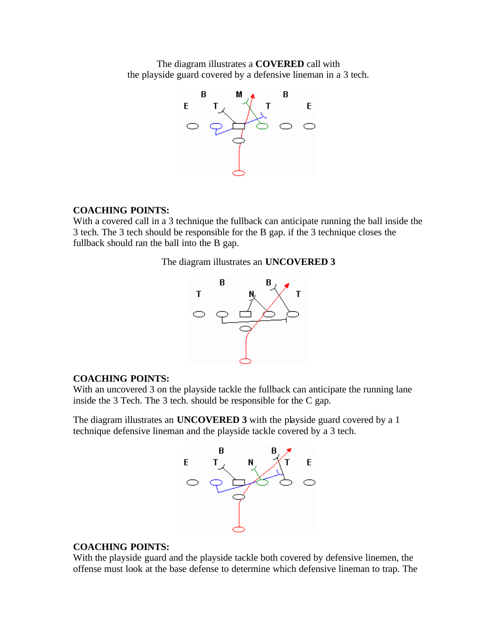The diagram illustrates a **COVERED** call with the playside guard covered by a defensive lineman in a 3 tech.



#### **COACHING POINTS:**

With a covered call in a 3 technique the fullback can anticipate running the ball inside the 3 tech. The 3 tech should be responsible for the B gap. if the 3 technique closes the fullback should ran the ball into the B gap.

#### The diagram illustrates an **UNCOVERED 3**



#### **COACHING POINTS:**

With an uncovered 3 on the playside tackle the fullback can anticipate the running lane inside the 3 Tech. The 3 tech. should be responsible for the C gap.

The diagram illustrates an **UNCOVERED 3** with the playside guard covered by a 1 technique defensive lineman and the playside tackle covered by a 3 tech.



#### **COACHING POINTS:**

With the playside guard and the playside tackle both covered by defensive linemen, the offense must look at the base defense to determine which defensive lineman to trap. The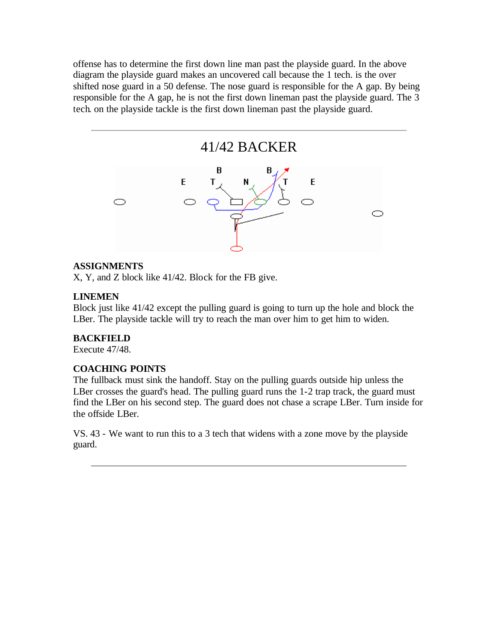offense has to determine the first down line man past the playside guard. In the above diagram the playside guard makes an uncovered call because the 1 tech. is the over shifted nose guard in a 50 defense. The nose guard is responsible for the A gap. By being responsible for the A gap, he is not the first down lineman past the playside guard. The 3 tech. on the playside tackle is the first down lineman past the playside guard.



#### **ASSIGNMENTS**

X, Y, and Z block like 41/42. Block for the FB give.

#### **LINEMEN**

Block just like 41/42 except the pulling guard is going to turn up the hole and block the LBer. The playside tackle will try to reach the man over him to get him to widen.

#### **BACKFIELD**

Execute 47/48.

#### **COACHING POINTS**

The fullback must sink the handoff. Stay on the pulling guards outside hip unless the LBer crosses the guard's head. The pulling guard runs the 1-2 trap track, the guard must find the LBer on his second step. The guard does not chase a scrape LBer. Turn inside for the offside LBer.

VS. 43 - We want to run this to a 3 tech that widens with a zone move by the playside guard.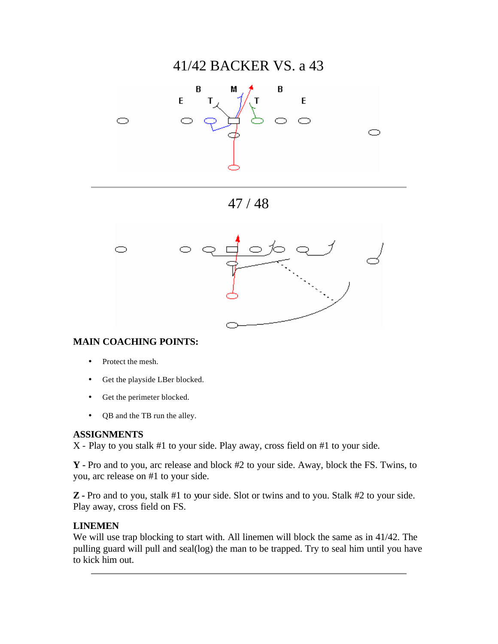### 41/42 BACKER VS. a 43







#### **MAIN COACHING POINTS:**

- Protect the mesh.
- Get the playside LBer blocked.
- Get the perimeter blocked.
- QB and the TB run the alley.

#### **ASSIGNMENTS**

X - Play to you stalk #1 to your side. Play away, cross field on #1 to your side.

**Y -** Pro and to you, arc release and block #2 to your side. Away, block the FS. Twins, to you, arc release on #1 to your side.

**Z -** Pro and to you, stalk #1 to your side. Slot or twins and to you. Stalk #2 to your side. Play away, cross field on FS.

#### **LINEMEN**

We will use trap blocking to start with. All linemen will block the same as in 41/42. The pulling guard will pull and seal(log) the man to be trapped. Try to seal him until you have to kick him out.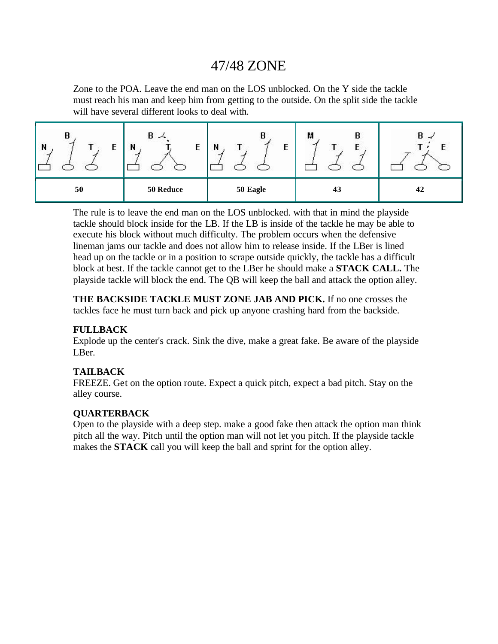### 47/48 ZONE

Zone to the POA. Leave the end man on the LOS unblocked. On the Y side the tackle must reach his man and keep him from getting to the outside. On the split side the tackle will have several different looks to deal with.

| В<br>N<br>╌<br>2305 | в<br>⋌<br>E<br>N<br>83 | U<br>N<br>t<br>L S | М<br>B<br>◡ | В<br>$\rightarrow$ |
|---------------------|------------------------|--------------------|-------------|--------------------|
| 50                  | 50 Reduce              | 50 Eagle           | 43          | 42                 |

The rule is to leave the end man on the LOS unblocked. with that in mind the playside tackle should block inside for the LB. If the LB is inside of the tackle he may be able to execute his block without much difficulty. The problem occurs when the defensive lineman jams our tackle and does not allow him to release inside. If the LBer is lined head up on the tackle or in a position to scrape outside quickly, the tackle has a difficult block at best. If the tackle cannot get to the LBer he should make a **STACK CALL.** The playside tackle will block the end. The QB will keep the ball and attack the option alley.

**THE BACKSIDE TACKLE MUST ZONE JAB AND PICK.** If no one crosses the tackles face he must turn back and pick up anyone crashing hard from the backside.

#### **FULLBACK**

Explode up the center's crack. Sink the dive, make a great fake. Be aware of the playside LBer.

#### **TAILBACK**

FREEZE. Get on the option route. Expect a quick pitch, expect a bad pitch. Stay on the alley course.

#### **QUARTERBACK**

Open to the playside with a deep step. make a good fake then attack the option man think pitch all the way. Pitch until the option man will not let you pitch. If the playside tackle makes the **STACK** call you will keep the ball and sprint for the option alley.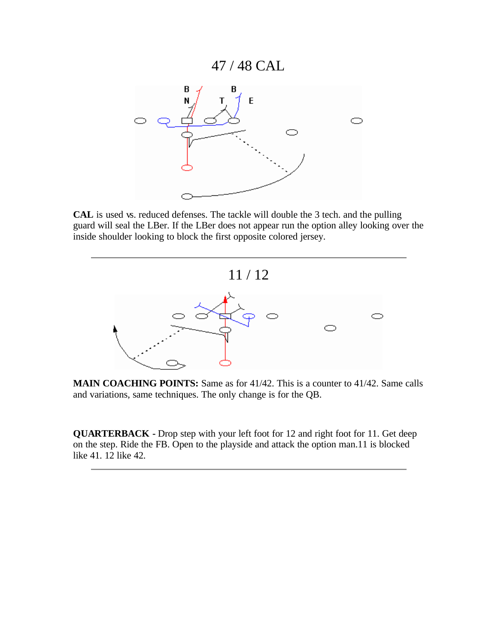### 47 / 48 CAL



**CAL** is used vs. reduced defenses. The tackle will double the 3 tech. and the pulling guard will seal the LBer. If the LBer does not appear run the option alley looking over the inside shoulder looking to block the first opposite colored jersey.



**MAIN COACHING POINTS:** Same as for 41/42. This is a counter to 41/42. Same calls and variations, same techniques. The only change is for the QB.

**QUARTERBACK -** Drop step with your left foot for 12 and right foot for 11. Get deep on the step. Ride the FB. Open to the playside and attack the option man.11 is blocked like 41. 12 like 42.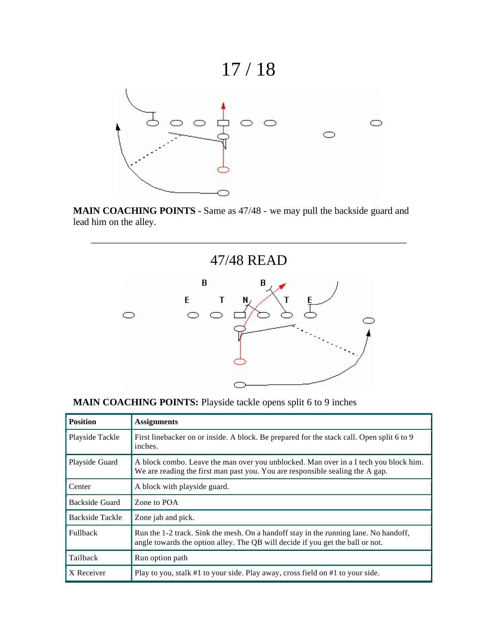# 17 / 18



**MAIN COACHING POINTS -** Same as 47/48 - we may pull the backside guard and lead him on the alley.



|                 | <b>MARITY CONCERN TO A OTIVA DI HIPSIGO GIORDO OPONS SPIRE O 10 7 MICHOS</b>                                                                                           |
|-----------------|------------------------------------------------------------------------------------------------------------------------------------------------------------------------|
| <b>Position</b> | <b>Assignments</b>                                                                                                                                                     |
| Playside Tackle | First linebacker on or inside. A block. Be prepared for the stack call. Open split 6 to 9<br>inches.                                                                   |
| Playside Guard  | A block combo. Leave the man over you unblocked. Man over in a I tech you block him.<br>We are reading the first man past you. You are responsible sealing the A gap.  |
| Center          | A block with playside guard.                                                                                                                                           |
| Backside Guard  | Zone to POA                                                                                                                                                            |
| Backside Tackle | Zone jab and pick.                                                                                                                                                     |
| <b>Fullback</b> | Run the 1-2 track. Sink the mesh. On a handoff stay in the running lane. No handoff,<br>angle towards the option alley. The QB will decide if you get the ball or not. |
| Tailback        | Run option path                                                                                                                                                        |
| X Receiver      | Play to you, stalk #1 to your side. Play away, cross field on #1 to your side.                                                                                         |
|                 |                                                                                                                                                                        |

|  |  |  | <b>MAIN COACHING POINTS:</b> Playside tackle opens split 6 to 9 inches |
|--|--|--|------------------------------------------------------------------------|
|  |  |  |                                                                        |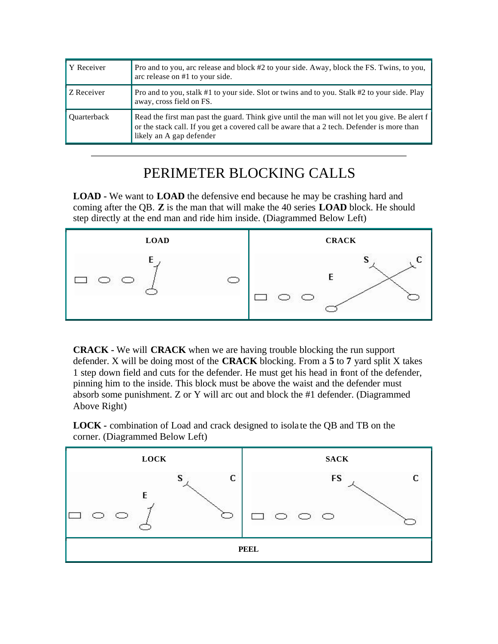| Y Receiver         | Pro and to you, arc release and block #2 to your side. Away, block the FS. Twins, to you,<br>arc release on #1 to your side.                                                                                            |
|--------------------|-------------------------------------------------------------------------------------------------------------------------------------------------------------------------------------------------------------------------|
| Z Receiver         | Pro and to you, stalk #1 to your side. Slot or twins and to you. Stalk #2 to your side. Play<br>away, cross field on FS.                                                                                                |
| <b>Ouarterback</b> | Read the first man past the guard. Think give until the man will not let you give. Be alert f<br>or the stack call. If you get a covered call be aware that a 2 tech. Defender is more than<br>likely an A gap defender |

### PERIMETER BLOCKING CALLS

**LOAD -** We want to **LOAD** the defensive end because he may be crashing hard and coming after the QB. **Z** is the man that will make the 40 series **LOAD** block. He should step directly at the end man and ride him inside. (Diagrammed Below Left)



**CRACK -** We will **CRACK** when we are having trouble blocking the run support defender. X will be doing most of the **CRACK** blocking. From a **5** to **7** yard split X takes 1 step down field and cuts for the defender. He must get his head in front of the defender, pinning him to the inside. This block must be above the waist and the defender must absorb some punishment. Z or Y will arc out and block the #1 defender. (Diagrammed Above Right)

**LOCK -** combination of Load and crack designed to isola te the QB and TB on the corner. (Diagrammed Below Left)

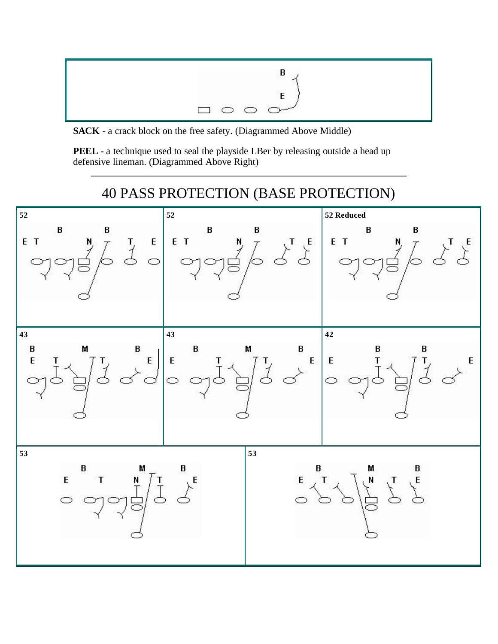

**SACK -** a crack block on the free safety. (Diagrammed Above Middle)

**PEEL -** a technique used to seal the playside LBer by releasing outside a head up defensive lineman. (Diagrammed Above Right)

## 40 PASS PROTECTION (BASE PROTECTION)

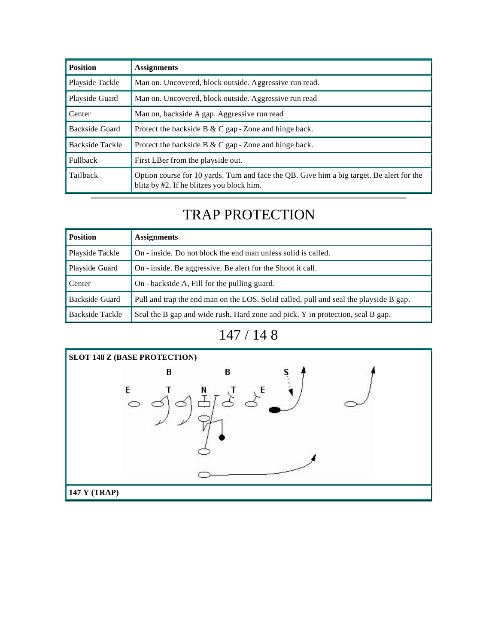| <b>Position</b> | <b>Assignments</b>                                                                                                                     |
|-----------------|----------------------------------------------------------------------------------------------------------------------------------------|
| Playside Tackle | Man on. Uncovered, block outside. Aggressive run read.                                                                                 |
| Playside Guard  | Man on. Uncovered, block outside. Aggressive run read                                                                                  |
| Center          | Man on, backside A gap. Aggressive run read                                                                                            |
| Backside Guard  | Protect the backside B & C gap - Zone and hinge back.                                                                                  |
| Backside Tackle | Protect the backside B $& C$ gap - Zone and hinge back.                                                                                |
| <b>Fullback</b> | First LBer from the playside out.                                                                                                      |
| Tailback        | Option course for 10 yards. Turn and face the QB. Give him a big target. Be alert for the<br>blitz by #2. If he blitzes you block him. |

# TRAP PROTECTION

| <b>Position</b> | <b>Assignments</b>                                                                    |
|-----------------|---------------------------------------------------------------------------------------|
| Playside Tackle | On - inside. Do not block the end man unless solid is called.                         |
| Playside Guard  | On - inside. Be aggressive. Be alert for the Shoot it call.                           |
| Center          | On - backside A, Fill for the pulling guard.                                          |
| Backside Guard  | Pull and trap the end man on the LOS. Solid called, pull and seal the playside B gap. |
| Backside Tackle | Seal the B gap and wide rush. Hard zone and pick. Y in protection, seal B gap.        |



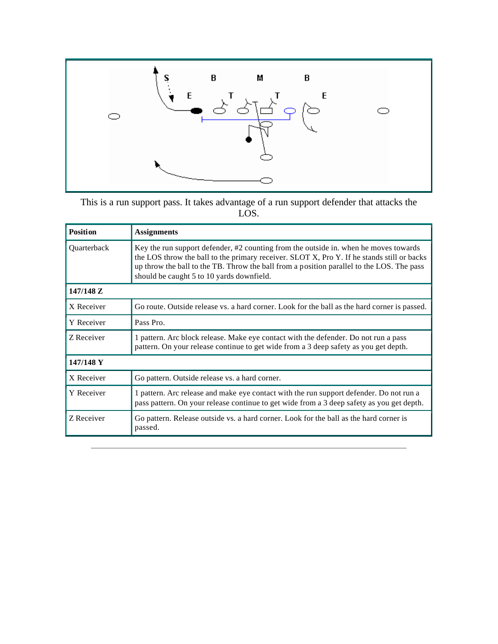

This is a run support pass. It takes advantage of a run support defender that attacks the LOS.

| <b>Position</b>    | <b>Assignments</b>                                                                                                                                                                                                                                                                                                           |
|--------------------|------------------------------------------------------------------------------------------------------------------------------------------------------------------------------------------------------------------------------------------------------------------------------------------------------------------------------|
| <b>Ouarterback</b> | Key the run support defender, #2 counting from the outside in. when he moves towards<br>the LOS throw the ball to the primary receiver. SLOT X, Pro Y. If he stands still or backs<br>up throw the ball to the TB. Throw the ball from a position parallel to the LOS. The pass<br>should be caught 5 to 10 yards downfield. |
| 147/148 Z          |                                                                                                                                                                                                                                                                                                                              |
| X Receiver         | Go route. Outside release vs. a hard corner. Look for the ball as the hard corner is passed.                                                                                                                                                                                                                                 |
| Y Receiver         | Pass Pro.                                                                                                                                                                                                                                                                                                                    |
| Z Receiver         | 1 pattern. Arc block release. Make eye contact with the defender. Do not run a pass<br>pattern. On your release continue to get wide from a 3 deep safety as you get depth.                                                                                                                                                  |
| 147/148 Y          |                                                                                                                                                                                                                                                                                                                              |
| X Receiver         | Go pattern. Outside release vs. a hard corner.                                                                                                                                                                                                                                                                               |
| Y Receiver         | 1 pattern. Arc release and make eye contact with the run support defender. Do not run a<br>pass pattern. On your release continue to get wide from a 3 deep safety as you get depth.                                                                                                                                         |
| Z Receiver         | Go pattern. Release outside vs. a hard corner. Look for the ball as the hard corner is<br>passed.                                                                                                                                                                                                                            |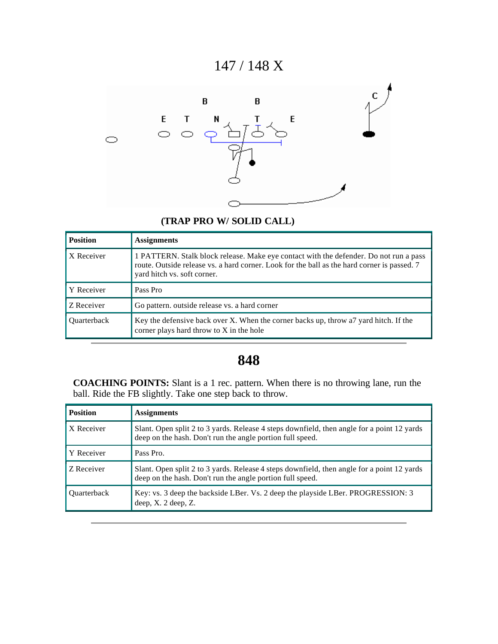### 147 / 148 X



### **(TRAP PRO W/ SOLID CALL)**

| <b>Position</b> | <b>Assignments</b>                                                                                                                                                                                                  |
|-----------------|---------------------------------------------------------------------------------------------------------------------------------------------------------------------------------------------------------------------|
| X Receiver      | 1 PATTERN. Stalk block release. Make eye contact with the defender. Do not run a pass<br>route. Outside release vs. a hard corner. Look for the ball as the hard corner is passed. 7<br>yard hitch vs. soft corner. |
| Y Receiver      | Pass Pro                                                                                                                                                                                                            |
| Z Receiver      | Go pattern, outside release vs. a hard corner                                                                                                                                                                       |
| Quarterback     | Key the defensive back over X. When the corner backs up, throw a 7y ard hitch. If the<br>corner plays hard throw to X in the hole                                                                                   |

### **848**

**COACHING POINTS:** Slant is a 1 rec. pattern. When there is no throwing lane, run the ball. Ride the FB slightly. Take one step back to throw.

| <b>Position</b>    | <b>Assignments</b>                                                                                                                                      |
|--------------------|---------------------------------------------------------------------------------------------------------------------------------------------------------|
| X Receiver         | Slant. Open split 2 to 3 yards. Release 4 steps downfield, then angle for a point 12 yards<br>deep on the hash. Don't run the angle portion full speed. |
| Y Receiver         | Pass Pro.                                                                                                                                               |
| Z Receiver         | Slant. Open split 2 to 3 yards. Release 4 steps downfield, then angle for a point 12 yards<br>deep on the hash. Don't run the angle portion full speed. |
| <b>Ouarterback</b> | Key: vs. 3 deep the backside LBer. Vs. 2 deep the playside LBer. PROGRESSION: 3<br>deep, X. 2 deep, Z.                                                  |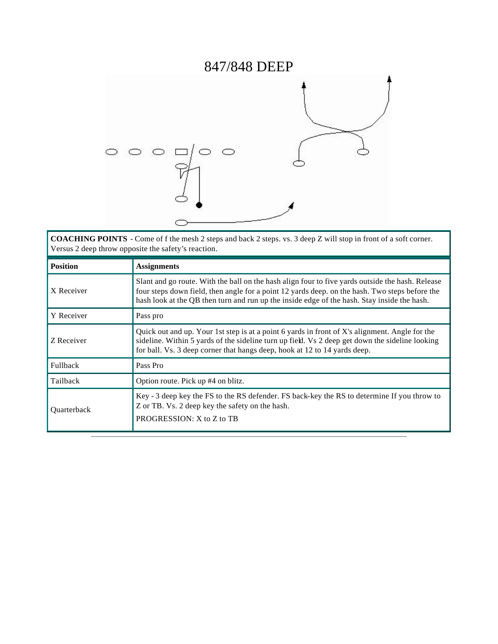# 847/848 DEEP



**COACHING POINTS** - Come of f the mesh 2 steps and back 2 steps. vs. 3 deep Z will stop in front of a soft corner. Versus 2 deep throw opposite the safety's reaction.

| <b>Position</b>    | <b>Assignments</b>                                                                                                                                                                                                                                                                                |
|--------------------|---------------------------------------------------------------------------------------------------------------------------------------------------------------------------------------------------------------------------------------------------------------------------------------------------|
| X Receiver         | Slant and go route. With the ball on the hash align four to five yards outside the hash. Release<br>four steps down field, then angle for a point 12 yards deep. on the hash. Two steps before the<br>hash look at the QB then turn and run up the inside edge of the hash. Stay inside the hash. |
| Y Receiver         | Pass pro                                                                                                                                                                                                                                                                                          |
| Z Receiver         | Quick out and up. Your 1st step is at a point 6 yards in front of X's alignment. Angle for the<br>sideline. Within 5 yards of the sideline turn up field. Vs 2 deep get down the sideline looking<br>for ball. Vs. 3 deep corner that hangs deep, hook at 12 to 14 yards deep.                    |
| Fullback           | Pass Pro                                                                                                                                                                                                                                                                                          |
| Tailback           | Option route. Pick up #4 on blitz.                                                                                                                                                                                                                                                                |
| <b>Ouarterback</b> | Key - 3 deep key the FS to the RS defender. FS back-key the RS to determine If you throw to<br>Z or TB. Vs. 2 deep key the safety on the hash.<br>PROGRESSION: X to Z to TB                                                                                                                       |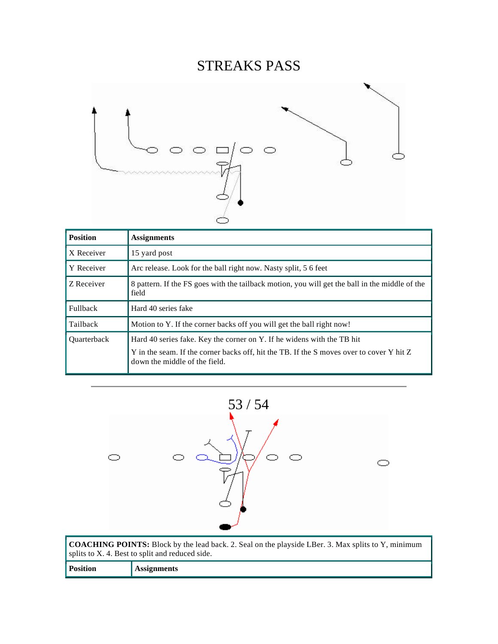# STREAKS PASS



| <b>Position</b>    | <b>Assignments</b>                                                                                                                                                                                  |
|--------------------|-----------------------------------------------------------------------------------------------------------------------------------------------------------------------------------------------------|
| X Receiver         | 15 yard post                                                                                                                                                                                        |
| Y Receiver         | Arc release. Look for the ball right now. Nasty split, 5 6 feet                                                                                                                                     |
| Z Receiver         | 8 pattern. If the FS goes with the tailback motion, you will get the ball in the middle of the<br>field                                                                                             |
| Fullback           | Hard 40 series fake                                                                                                                                                                                 |
| Tailback           | Motion to Y. If the corner backs off you will get the ball right now!                                                                                                                               |
| <b>Ouarterback</b> | Hard 40 series fake. Key the corner on Y. If he widens with the TB hit<br>Y in the seam. If the corner backs off, hit the TB. If the S moves over to cover Y hit Z<br>down the middle of the field. |



**COACHING POINTS:** Block by the lead back. 2. Seal on the playside LBer. 3. Max splits to Y, minimum splits to X. 4. Best to split and reduced side. **Position Assignments**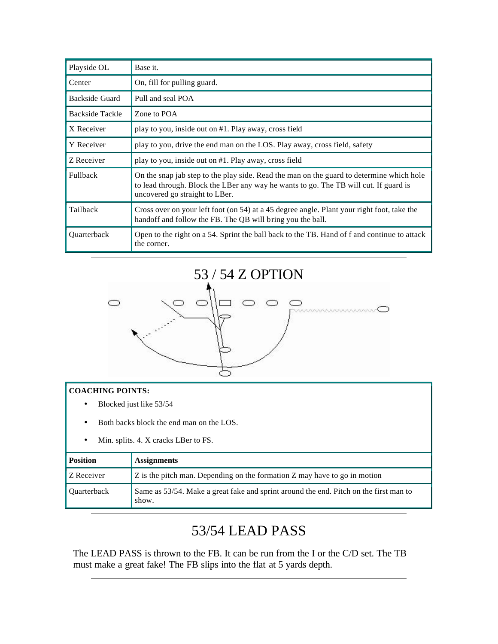| Playside OL     | Base it.                                                                                                                                                                                                           |
|-----------------|--------------------------------------------------------------------------------------------------------------------------------------------------------------------------------------------------------------------|
| Center          | On, fill for pulling guard.                                                                                                                                                                                        |
| Backside Guard  | Pull and seal POA                                                                                                                                                                                                  |
| Backside Tackle | Zone to POA                                                                                                                                                                                                        |
| X Receiver      | play to you, inside out on #1. Play away, cross field                                                                                                                                                              |
| Y Receiver      | play to you, drive the end man on the LOS. Play away, cross field, safety                                                                                                                                          |
| Z Receiver      | play to you, inside out on #1. Play away, cross field                                                                                                                                                              |
| Fullback        | On the snap jab step to the play side. Read the man on the guard to determine which hole<br>to lead through. Block the LBer any way he wants to go. The TB will cut. If guard is<br>uncovered go straight to LBer. |
| Tailback        | Cross over on your left foot (on 54) at a 45 degree angle. Plant your right foot, take the<br>handoff and follow the FB. The QB will bring you the ball.                                                           |
| Quarterback     | Open to the right on a 54. Sprint the ball back to the TB. Hand of f and continue to attack<br>the corner.                                                                                                         |



#### **COACHING POINTS:**

- Blocked just like 53/54
- Both backs block the end man on the LOS.
- Min. splits. 4. X cracks LBer to FS.

| <b>Position</b> | <b>Assignments</b>                                                                             |
|-----------------|------------------------------------------------------------------------------------------------|
| Z Receiver      | Z is the pitch man. Depending on the formation Z may have to go in motion                      |
| Quarterback     | Same as 53/54. Make a great fake and sprint around the end. Pitch on the first man to<br>show. |

# 53/54 LEAD PASS

The LEAD PASS is thrown to the FB. It can be run from the I or the C/D set. The TB must make a great fake! The FB slips into the flat at 5 yards depth.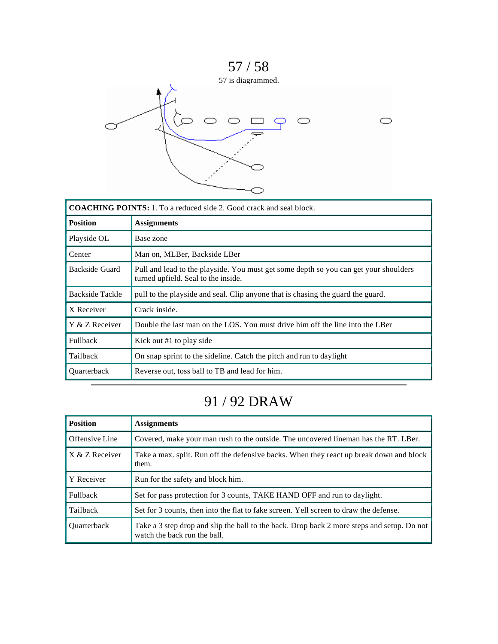

| <b>COACHING POINTS:</b> 1. To a reduced side 2. Good crack and seal block. |                                                                                                                             |
|----------------------------------------------------------------------------|-----------------------------------------------------------------------------------------------------------------------------|
| <b>Position</b>                                                            | <b>Assignments</b>                                                                                                          |
| Playside OL                                                                | Base zone                                                                                                                   |
| Center                                                                     | Man on, MLBer, Backside LBer                                                                                                |
| Backside Guard                                                             | Pull and lead to the playside. You must get some depth so you can get your shoulders<br>turned upfield. Seal to the inside. |
| <b>Backside Tackle</b>                                                     | pull to the playside and seal. Clip anyone that is chasing the guard the guard.                                             |
| X Receiver                                                                 | Crack inside.                                                                                                               |
| Y & Z Receiver                                                             | Double the last man on the LOS. You must drive him off the line into the LBer                                               |
| <b>Fullback</b>                                                            | Kick out #1 to play side                                                                                                    |
| Tailback                                                                   | On snap sprint to the sideline. Catch the pitch and run to daylight                                                         |
| Quarterback                                                                | Reverse out, toss ball to TB and lead for him.                                                                              |

# 91 / 92 DRAW

| <b>Position</b>    | <b>Assignments</b>                                                                                                         |
|--------------------|----------------------------------------------------------------------------------------------------------------------------|
| Offensive Line     | Covered, make your man rush to the outside. The uncovered lineman has the RT. LBer.                                        |
| X & Z Receiver     | Take a max. split. Run off the defensive backs. When they react up break down and block<br>them.                           |
| Y Receiver         | Run for the safety and block him.                                                                                          |
| <b>Fullback</b>    | Set for pass protection for 3 counts, TAKE HAND OFF and run to daylight.                                                   |
| Tailback           | Set for 3 counts, then into the flat to fake screen. Yell screen to draw the defense.                                      |
| <b>Ouarterback</b> | Take a 3 step drop and slip the ball to the back. Drop back 2 more steps and setup. Do not<br>watch the back run the ball. |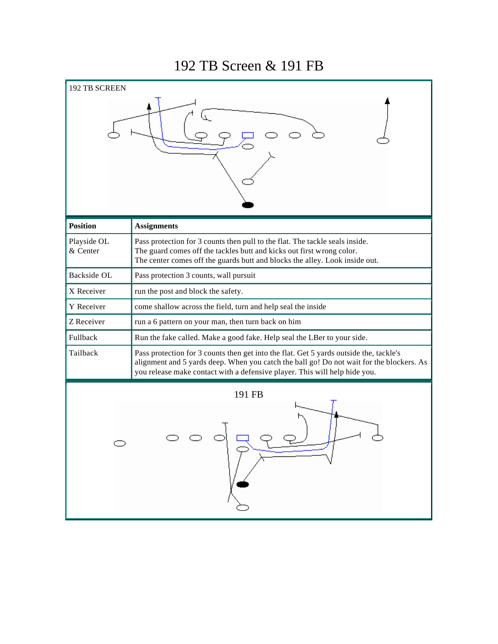### 192 TB Screen & 191 FB

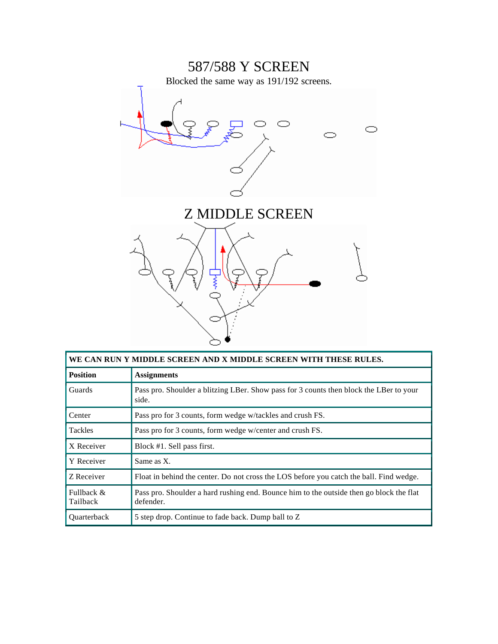

| WE CAN RUN Y MIDDLE SCREEN AND X MIDDLE SCREEN WITH THESE RULES. |                                                                                                      |
|------------------------------------------------------------------|------------------------------------------------------------------------------------------------------|
| <b>Position</b>                                                  | <b>Assignments</b>                                                                                   |
| Guards                                                           | Pass pro. Shoulder a blitzing LBer. Show pass for 3 counts then block the LBer to your<br>side.      |
| Center                                                           | Pass pro for 3 counts, form wedge w/tackles and crush FS.                                            |
| <b>Tackles</b>                                                   | Pass pro for 3 counts, form wedge w/center and crush FS.                                             |
| X Receiver                                                       | Block #1. Sell pass first.                                                                           |
| Y Receiver                                                       | Same as X.                                                                                           |
| Z Receiver                                                       | Float in behind the center. Do not cross the LOS before you catch the ball. Find wedge.              |
| Fullback &<br>Tailback                                           | Pass pro. Shoulder a hard rushing end. Bounce him to the outside then go block the flat<br>defender. |
| <b>Ouarterback</b>                                               | 5 step drop. Continue to fade back. Dump ball to Z                                                   |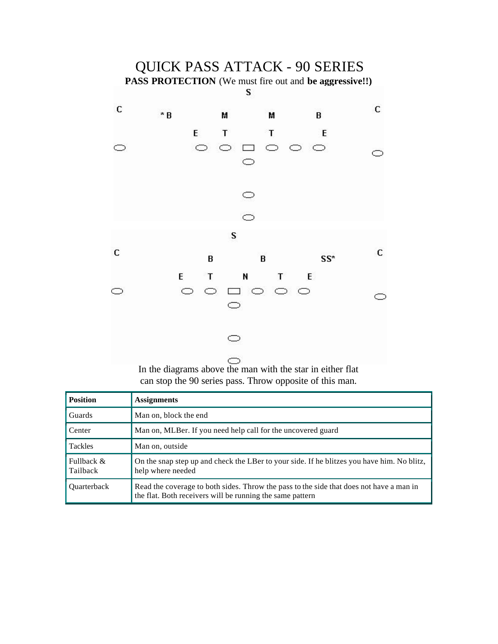

In the diagrams above the man with the star in either flat can stop the 90 series pass. Throw opposite of this man.

| <b>Position</b>        | <b>Assignments</b>                                                                                                                                   |
|------------------------|------------------------------------------------------------------------------------------------------------------------------------------------------|
| Guards                 | Man on, block the end                                                                                                                                |
| Center                 | Man on, MLBer. If you need help call for the uncovered guard                                                                                         |
| <b>Tackles</b>         | Man on, outside                                                                                                                                      |
| Fullback &<br>Tailback | On the snap step up and check the LBer to your side. If he blitzes you have him. No blitz,<br>help where needed                                      |
| <b>Ouarterback</b>     | Read the coverage to both sides. Throw the pass to the side that does not have a man in<br>the flat. Both receivers will be running the same pattern |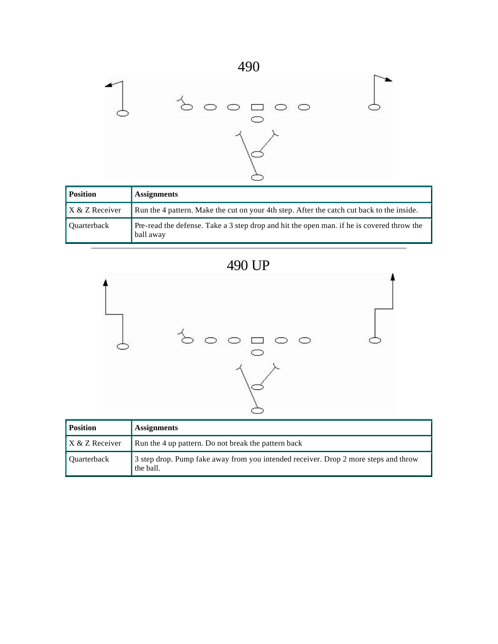

| <b>Position</b>    | <b>Assignments</b>                                                                                     |
|--------------------|--------------------------------------------------------------------------------------------------------|
| $X & Z$ Receiver   | Run the 4 pattern. Make the cut on your 4th step. After the catch cut back to the inside.              |
| <b>Quarterback</b> | Pre-read the defense. Take a 3 step drop and hit the open man, if he is covered throw the<br>ball away |





| <b>Position</b>    | <b>Assignments</b>                                                                               |
|--------------------|--------------------------------------------------------------------------------------------------|
| $X & Z$ Receiver   | Run the 4 up pattern. Do not break the pattern back                                              |
| <b>Ouarterback</b> | 3 step drop. Pump fake away from you intended receiver. Drop 2 more steps and throw<br>the ball. |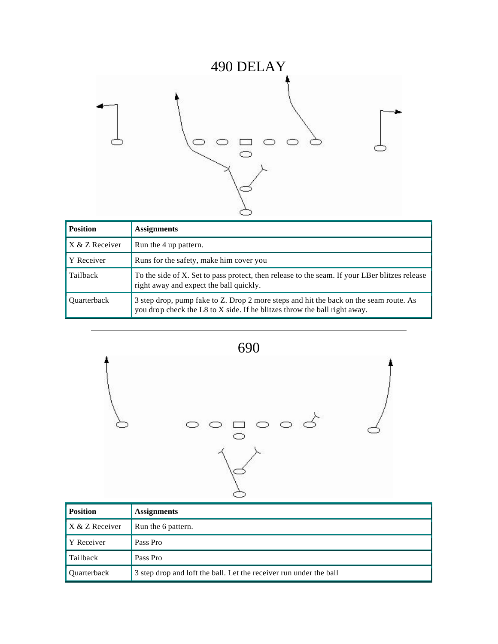

| <b>Position</b>    | <b>Assignments</b>                                                                                                                                                 |
|--------------------|--------------------------------------------------------------------------------------------------------------------------------------------------------------------|
| X & Z Receiver     | Run the 4 up pattern.                                                                                                                                              |
| Y Receiver         | Runs for the safety, make him cover you                                                                                                                            |
| Tailback           | To the side of X. Set to pass protect, then release to the seam. If your LBer blitzes release<br>right away and expect the ball quickly.                           |
| <b>Ouarterback</b> | 3 step drop, pump fake to Z. Drop 2 more steps and hit the back on the seam route. As<br>you drop check the L8 to X side. If he blitzes throw the ball right away. |



| <b>Position</b>  | <b>Assignments</b>                                                 |
|------------------|--------------------------------------------------------------------|
| $X & Z$ Receiver | Run the 6 pattern.                                                 |
| Y Receiver       | Pass Pro                                                           |
| Tailback         | Pass Pro                                                           |
| Quarterback      | 3 step drop and loft the ball. Let the receiver run under the ball |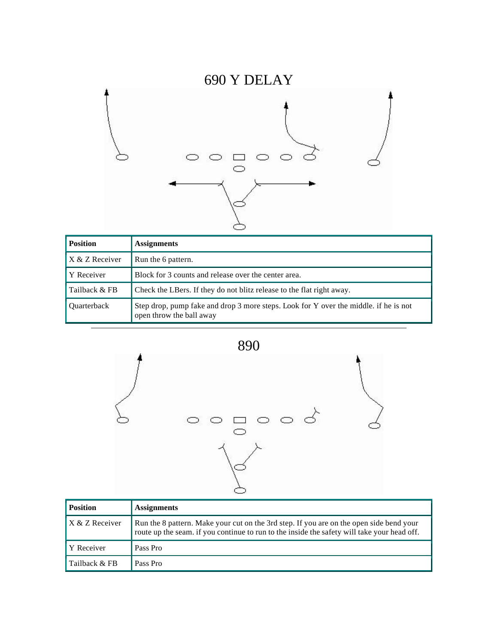# 690 Y DELAY



| <b>Position</b> | <b>Assignments</b>                                                                                               |
|-----------------|------------------------------------------------------------------------------------------------------------------|
| X & Z Receiver  | Run the 6 pattern.                                                                                               |
| Y Receiver      | Block for 3 counts and release over the center area.                                                             |
| Tailback & FB   | Check the LBers. If they do not blitz release to the flat right away.                                            |
| Ouarterback     | Step drop, pump fake and drop 3 more steps. Look for Y over the middle. if he is not<br>open throw the ball away |





| <b>Position</b> | <b>Assignments</b>                                                                                                                                                                     |
|-----------------|----------------------------------------------------------------------------------------------------------------------------------------------------------------------------------------|
| X & Z Receiver  | Run the 8 pattern. Make your cut on the 3rd step. If you are on the open side bend your<br>route up the seam. if you continue to run to the inside the safety will take your head off. |
| Y Receiver      | Pass Pro                                                                                                                                                                               |
| Tailback & FB   | Pass Pro                                                                                                                                                                               |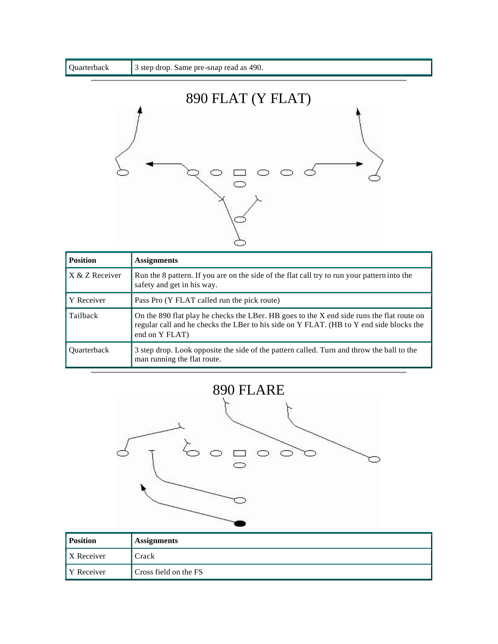

| <b>Position</b>    | <b>Assignments</b>                                                                                                                                                                                     |
|--------------------|--------------------------------------------------------------------------------------------------------------------------------------------------------------------------------------------------------|
| X & Z Receiver     | Run the 8 pattern. If you are on the side of the flat call try to run your pattern into the<br>safety and get in his way.                                                                              |
| Y Receiver         | Pass Pro (Y FLAT called run the pick route)                                                                                                                                                            |
| Tailback           | On the 890 flat play he checks the LBer. HB goes to the X end side runs the flat route on<br>regular call and he checks the LBer to his side on Y FLAT. (HB to Y end side blocks the<br>end on Y FLAT) |
| <b>Ouarterback</b> | 3 step drop. Look opposite the side of the pattern called. Turn and throw the ball to the<br>man running the flat route.                                                                               |





| <b>Position</b>   | <b>Assignments</b>    |
|-------------------|-----------------------|
| <b>X</b> Receiver | Crack                 |
| Y Receiver        | Cross field on the FS |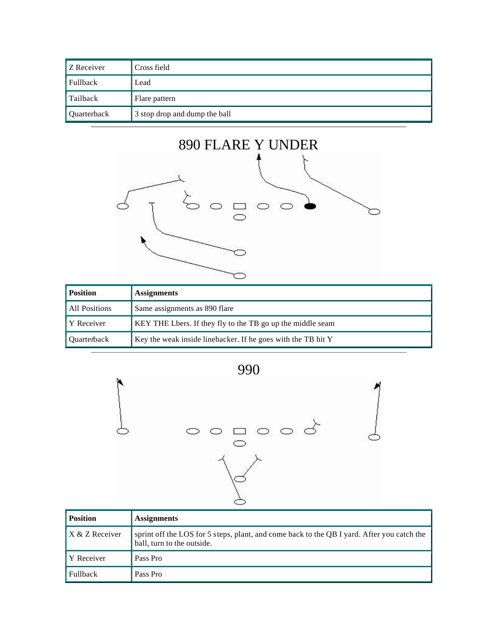| Z Receiver         | Cross field                   |
|--------------------|-------------------------------|
| Fullback           | Lead                          |
| Tailback           | Flare pattern                 |
| <b>Quarterback</b> | 3 stop drop and dump the ball |



| <b>Position</b>    | <b>Assignments</b>                                           |
|--------------------|--------------------------------------------------------------|
| All Positions      | Same assignments as 890 flare                                |
| <b>Y</b> Receiver  | KEY THE Lbers. If they fly to the TB go up the middle seam   |
| <b>Ouarterback</b> | Key the weak inside linebacker. If he goes with the TB hit Y |





| <b>Position</b> | <b>Assignments</b>                                                                                                       |
|-----------------|--------------------------------------------------------------------------------------------------------------------------|
| X & Z Receiver  | sprint off the LOS for 5 steps, plant, and come back to the QB I yard. After you catch the<br>ball, turn to the outside. |
| Y Receiver      | Pass Pro                                                                                                                 |
| <b>Fullback</b> | Pass Pro                                                                                                                 |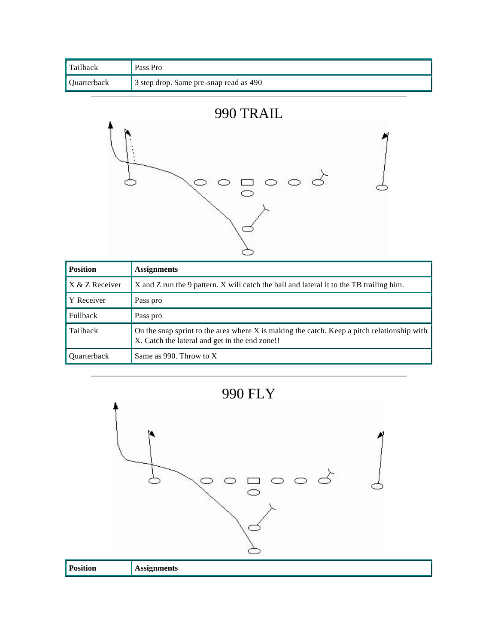| Tailback             | Pass Pro                               |
|----------------------|----------------------------------------|
| <b>U</b> Quarterback | 3 step drop. Same pre-snap read as 490 |





| <b>Position</b>    | <b>Assignments</b>                                                                                                                           |
|--------------------|----------------------------------------------------------------------------------------------------------------------------------------------|
| X & Z Receiver     | X and Z run the 9 pattern. X will catch the ball and lateral it to the TB trailing him.                                                      |
| Y Receiver         | Pass pro                                                                                                                                     |
| <b>Fullback</b>    | Pass pro                                                                                                                                     |
| Tailback           | On the snap sprint to the area where X is making the catch. Keep a pitch relationship with<br>X. Catch the lateral and get in the end zone!! |
| <b>Ouarterback</b> | Same as 990. Throw to $X$                                                                                                                    |



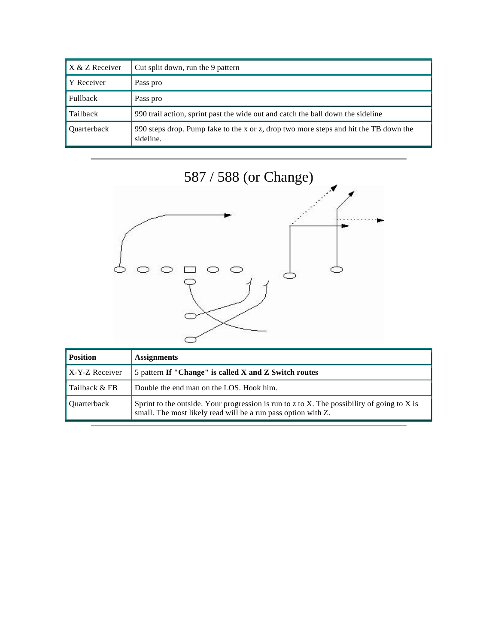| X & Z Receiver     | Cut split down, run the 9 pattern                                                                 |
|--------------------|---------------------------------------------------------------------------------------------------|
| Y Receiver         | Pass pro                                                                                          |
| Fullback           | Pass pro                                                                                          |
| Tailback           | 990 trail action, sprint past the wide out and catch the ball down the sideline                   |
| <b>Ouarterback</b> | 990 steps drop. Pump fake to the x or z, drop two more steps and hit the TB down the<br>sideline. |

![](_page_37_Figure_1.jpeg)

| <b>Position</b>       | <b>Assignments</b>                                                                                                                                          |
|-----------------------|-------------------------------------------------------------------------------------------------------------------------------------------------------------|
| <b>X-Y-Z</b> Receiver | 5 pattern If "Change" is called X and Z Switch routes                                                                                                       |
| Tailback & FB         | Double the end man on the LOS. Hook him.                                                                                                                    |
| Ouarterback           | Sprint to the outside. Your progression is run to z to X. The possibility of going to X is<br>small. The most likely read will be a run pass option with Z. |